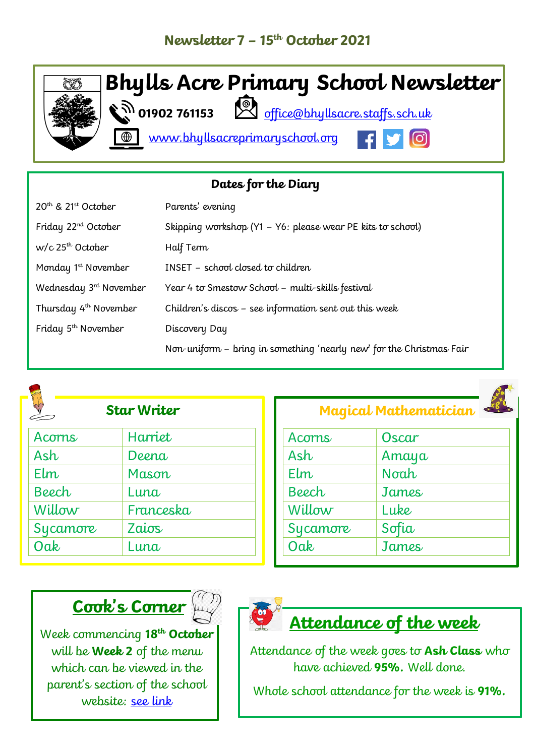

| Dates for the Diary                         |                                                                      |  |
|---------------------------------------------|----------------------------------------------------------------------|--|
| 20 <sup>th</sup> & 21 <sup>st</sup> October | Parents' evening                                                     |  |
| Friday 22 <sup>nd</sup> October             | Skipping workshop (Y1 - Y6: please wear PE kits to school)           |  |
| w/c 25 <sup>th</sup> October                | Half Term                                                            |  |
| Monday 1 <sup>st</sup> November             | INSET - school closed to children                                    |  |
| Wednesday 3 <sup>rd</sup> November          | Year 4 to Smestow School - multi-skills festival                     |  |
| Thursday 4 <sup>th</sup> November           | Children's discos - see information sent out this week               |  |
| Friday 5 <sup>th</sup> November             | Discovery Day                                                        |  |
|                                             | Non-uniform - bring in something 'nearly new' for the Christmas Fair |  |



| Acorns   | Harriet   |
|----------|-----------|
| Ash      | Deena     |
| $E$ lm   | Mason     |
| Beech    | Luna      |
| Willow   | Franceska |
| Sycamore | Zaios     |
| Oak      | Luna      |
|          |           |

| <b>May a car in a concentration</b> |       |
|-------------------------------------|-------|
| Acorns                              | Oscar |
| Ash                                 | Amaya |
| $E$ lm                              | Noah  |
| Beech                               | James |
| Willow                              | Luke  |
| Sycamore                            | Sofia |
| Oak                                 | James |

**Magical Mathematician**



Week commencing **18 th October** will be **Week 2** of the menu which can be viewed in the parent's section of the school website: [see link](https://www.bhyllsacreprimaryschool.org/parents/school-meals)



## **Attendance of the week**

Attendance of the week goes to **Ash Class** who have achieved **95%.** Well done.

Whole school attendance for the week is **91%.**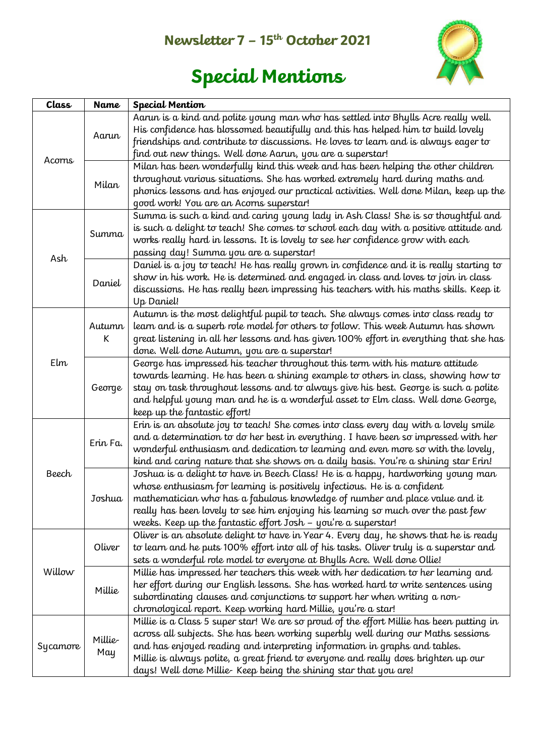## **Newsletter 7 – 15th October 2021**



# **Special Mentions**

| Class           | <b>Name</b>                                                | <b>Special Mention</b>                                                                            |
|-----------------|------------------------------------------------------------|---------------------------------------------------------------------------------------------------|
|                 |                                                            | Aarun is a kind and polite young man who has settled into Bhylls Acre really well.                |
| Aarun<br>Acorns |                                                            | His confidence has blossomed beautifully and this has helped him to build lovely                  |
|                 |                                                            | friendships and contribute to discussions. He loves to learn and is always eager to               |
|                 | find out new things. Well done Aarun, you are a superstar! |                                                                                                   |
|                 |                                                            | Milan has been wonderfully kind this week and has been helping the other children                 |
|                 | Milan                                                      | throughout various situations. She has worked extremely hard during maths and                     |
|                 |                                                            | phonics lessons and has enjoyed our practical activities. Well done Milan, keep up the            |
|                 |                                                            | good work! You are an Acorns superstar!                                                           |
|                 |                                                            | Summa is such a kind and caring young lady in Ash Class! She is so thoughtful and                 |
|                 | Summa                                                      | is such a delight to teach! She comes to school each day with a positive attitude and             |
|                 |                                                            | works really hard in lessons. It is lovely to see her confidence grow with each                   |
| Ash             |                                                            | passing day! Summa you are a superstar!                                                           |
|                 |                                                            | Daniel is a joy to teach! He has really grown in confidence and it is really starting to          |
|                 | Daniel                                                     | show in his work. He is determined and engaged in class and loves to join in class                |
|                 |                                                            | discussions. He has really been impressing his teachers with his maths skills. Keep it            |
|                 |                                                            | Up Daniel!                                                                                        |
|                 |                                                            | Autumn is the most delightful pupil to teach. She always comes into class ready to                |
|                 | Autumn                                                     | learn and is a superb role model for others to follow. This week Autumn has shown                 |
|                 | К                                                          | great listening in all her lessons and has given 100% effort in everything that she has           |
|                 |                                                            | done. Well done Autumn, you are a superstar!                                                      |
| Elm             |                                                            | George has impressed his teacher throughout this term with his mature attitude                    |
|                 |                                                            | towards learning. He has been a shining example to others in class, showing how to                |
|                 | George                                                     | stay on task throughout lessons and to always give his best. George is such a polite              |
|                 |                                                            | and helpful young man and he is a wonderful asset to Elm class. Well done George,                 |
|                 |                                                            | keep up the fantastic effort!                                                                     |
|                 |                                                            | Erin is an absolute joy to teach! She comes into class every day with $\overline{a}$ lovely smile |
|                 | Erin Fa.                                                   | and a determination to do her best in everything. I have been so impressed with her               |
|                 |                                                            | wonderful enthusiasm and dedication to learning and even more so with the lovely,                 |
|                 |                                                            | kind and caring nature that she shows on a daily basis. You're a shining star Erin!               |
| <b>Beech</b>    |                                                            | Joshua is a delight to have in Beech Class! He is a happy, hardworking young man                  |
|                 |                                                            | whose enthusiasm for learning is positively infectious. He is a confident                         |
|                 | Joshua                                                     | mathematician who has a fabulous knowledge of number and place value and it                       |
|                 |                                                            | really has been lovely to see him enjoying his learning so much over the past few                 |
|                 |                                                            | weeks. Keep up the fantastic effort Josh - you're a superstar!                                    |
|                 |                                                            | Oliver is an absolute delight to have in Year 4. Every day, he shows that he is ready             |
|                 | Oliver                                                     | to learn and he puts 100% effort into all of his tasks. Oliver truly is a superstar and           |
| Willow          |                                                            | sets a wonderful role model to everyone at Bhylls Acre. Well done Ollie!                          |
|                 |                                                            | Millie has impressed her teachers this week with her dedication to her learning and               |
|                 |                                                            | her effort during our English lessons. She has worked hard to write sentences using               |
|                 | Millie                                                     | subordinating clauses and conjunctions to support her when writing a non-                         |
|                 |                                                            | chronological report. Keep working hard Millie, you're a star!                                    |
|                 |                                                            | Millie is a Class 5 super star! We are so proud of the effort Millie has been putting in          |
| Sycamore        |                                                            | across all subjects. She has been working superbly well during our Maths sessions                 |
|                 | Millie-<br>May                                             | and has enjoyed reading and interpreting information in graphs and tables.                        |
|                 |                                                            | Millie is always polite, a great friend to everyone and really does brighten up our               |
|                 |                                                            | days! Well done Millie-Keep being the shining star that you are!                                  |